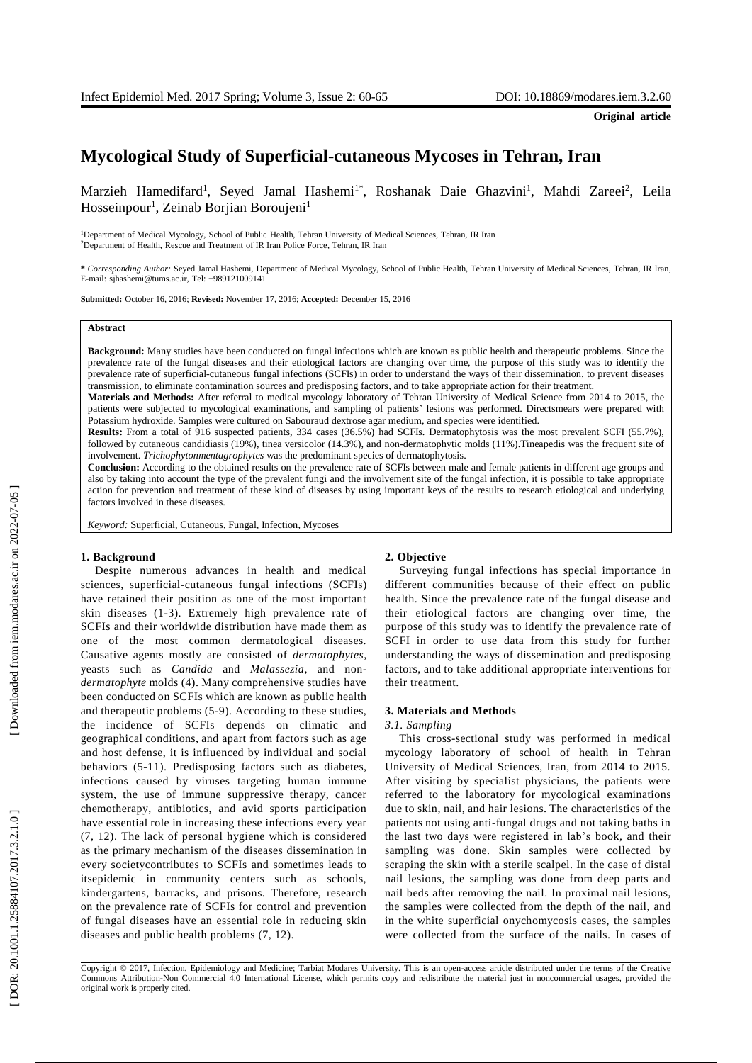# **Mycological Study of Superficial - cutaneous Mycoses in Tehran, Iran**

Marzieh Hamedifard<sup>1</sup>, Seyed Jamal Hashemi<sup>1\*</sup>, Roshanak Daie Ghazvini<sup>1</sup>, Mahdi Zareei<sup>2</sup>, Leila Hosseinpour<sup>1</sup>, Zeinab Borjian Boroujeni<sup>1</sup>

<sup>1</sup>Department of Medical Mycology, School of Public Health, Tehran University of Medical Sciences, Tehran, IR Iran <sup>2</sup>Department of Health, Rescue and Treatment of IR Iran Police Force, Tehran, IR Iran

**\*** *Corresponding Author:* Seyed Jamal Hashemi, Department of Medical Mycology, School of Public Health, Tehran University of Medical Sciences, Tehran, IR Iran , E -mail: sjhashemi@tums.ac.ir, Tel: +989121009141

**Submitted:** October 16, 2016; **Revised:** November 17, 2016; **Accepted:** December 15, 2016

#### **Abstract**

**Background:** Many studies have been conducted on fungal infections which are known as public health and therapeutic problems. Since the prevalence rate of the fungal disease s and their etiological factors are changing over time, the purpose of this study was to identify the prevalence rate of superficial-cutaneous fungal infections (SCFIs) in order to understand the ways of their dissemination, to prevent diseases transmission, to eliminat e contamination sources and predisposing factors , and to take appropriate action for their treatment.

**Materials and Methods:** After referral to medical mycology laboratory of Tehran University of Medical Science from 2014 to 2015, the patients were subjected to mycological examinations, and sampling of patients' lesion s was performed . Direct smears were prepared with Potassium hydroxide . Samples were cultured on Sabouraud dextrose agar medium, and species were identified.

**Results:** From a total of 916 suspected patients, 334 cases (36.5%) had SCFIs. Dermatophytosis was the most prevalent SCFI (55.7%), followed by cutaneous candidiasis (19%), tinea versicolor (14.3%), and non -dermatophytic molds (11%).Tineapedis was the frequent site of involvement. *Trichophytonmentagrophytes* was the predominant species of dermatophytosis .

**Conclusion:** According to the obtained results on the prevalence rate of SCFIs between male and female patients in different age groups and also by taking into account the type of the prevalent fungi and the involvement site of the fungal infection, it is possible to take appropriate action for prevention and treatment of these kind of diseases by using important keys of the results to research etiological and underlying factors involved in these diseases.

*Keyword:* Superficial, Cutaneous, Fungal, Infection, Mycoses

# **1. Background**

Despite numerous advances in health and medical sciences, superficial -cutaneous fungal infections (SCFIs ) have retained their position as one of the most important skin diseases ( 1 - 3 ). Extremely high prevalence rate of SCFIs and their worldwide distribution have ma de them as one of the most common dermatological diseases. Causative agents mostly are consisted of *dermatophytes*, yeasts such as *Candida* and *Malassezia* , and non *dermatophyte* molds ( 4 ). Many comprehensive studies have been conducted on SCFIs which are known as public health and therapeutic problems ( 5 - 9). According to these studies, the incidence of SCFIs depends on climatic and geographical conditions , and apart from factors such as age and host defen se, it is influenced by individual and social behaviors ( 5 -11 ) . Predisposing factors such as diabetes, infections caused by viruses targeting human immune system, the use of immune suppressive therapy, cancer chemotherapy, antibiotics , and avid sports participation have essential r ole in increasing these infections every year ( 7, 12 ) . The lack of personal hygiene which is considered as the primary mechanism of the diseases dissemination in every societycontribute s to SCFIs and sometimes leads to itsepidemic in community centers such as schools, kindergartens, barracks , and prisons. Therefore, research on the prevalence rate of SCFIs for control and prevention of fungal diseases have an essential role in reducing skin diseases and public health problems ( 7, 12).

# **2. Objective**

Surveying fungal infections has special importance in different communities because of their effect on public health. Since the prevalence rate of the fungal disease and their etiological factors are changing over time, the purpose of this study was to identify the prevalence rate of SCFI in order to use data from this study for further understanding the ways of dissemination and predisposing factors , and to take additional appropriate interventions for their treatment.

#### **3. Material s and Methods**

## *3.1. Sampling*

This cross -sectional study was performed in medical mycology laboratory of school of health in Tehran University of Medical Sciences, Iran, from 2014 to 2015. After visiting by specialist physicians, the patients were referred to the laboratory for mycological examinations due to skin , nail , and hair lesions. The characteristics of the patients not using anti -fungal drugs and not taking baths in the last two days were registered in lab's book , and their sampling was done. Skin samples were collected by scraping the skin with a sterile scalpel. In the case of distal nail lesions, the sampling was done from deep parts and nail bed s after removing the nail . In proximal nail lesions, the samples were collected from the depth of the nail, and in the white superficial onychomycosis cases, the samples were collected from the surface of the nails. In cases of

Copyright © 2017, Infection, Epidemiology and Medicine; Tarbiat Modares University. This is an open -access article distributed under the terms of the Creative Commons Attribution -Non Commercial 4.0 International License, which permits copy and redistribute the material just in noncommercial usages, provided the original work is properly cited .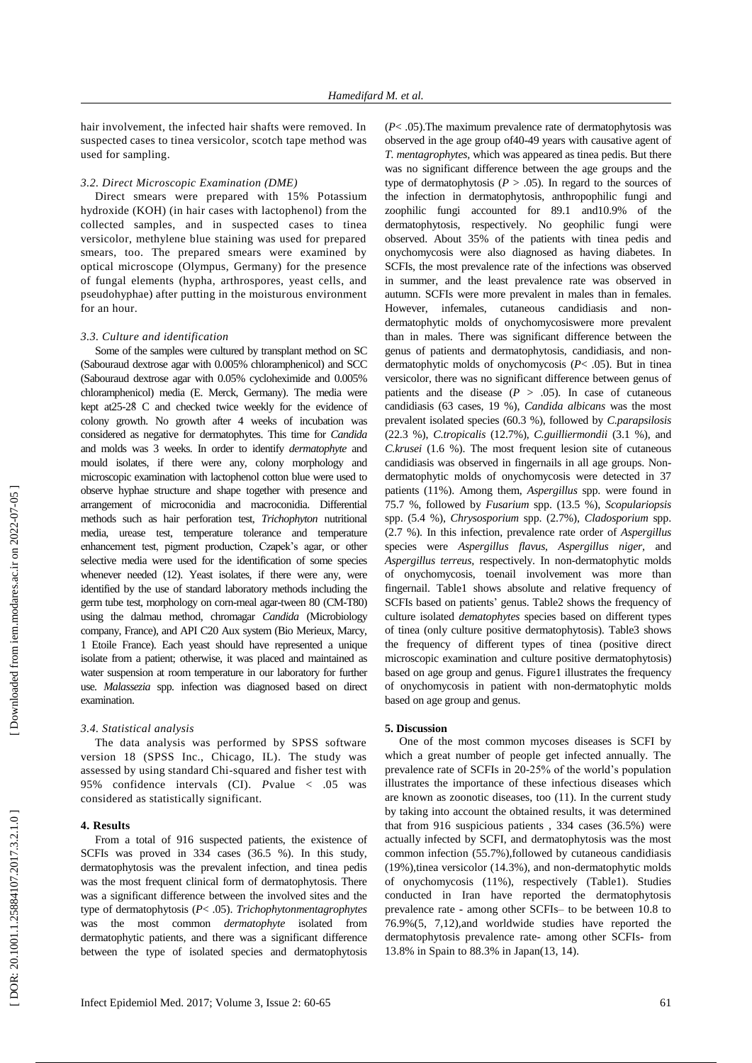hair involvement, the infected hair shafts were removed. In suspected cases to tinea versicolor , scotch tape method was used for sampling .

## *3.2. Direct Microscopic Examination (DME)*

Direct smear s were prepared with 15% Potassium hydroxide (KOH ) ( in hair cases with lactophenol) from the collected samples, and in suspected case s to tinea versicolor, methylene blue staining was used for prepared smears, too. The prepared smears were examined by optical microscope (Olympus , Germany) for the presence of fungal elements (hypha , arthrospores, yeast cells , and pseudohyphae) after putting in the moisturous environment for an hour.

## *3.3. Culture and identification*

Some of the samples were cultured by transplant method on SC (Sabouraud dextrose agar with 0.005% chloramphenicol) and SCC (Sabouraud dextrose agar with 0.05% cycloheximide and 0.005% chloramphenicol) media (E. Merck, Germany). The media were kept at25 - 2 8̊ C and checked twice weekly for the evidence of colony growth. No growth after 4 weeks of incubation was considered as negative for dermatophytes. This time for *Candida* and molds was 3 weeks. In order to identify *dermatophyte* and mould isolates, if there were any, colony morphology and microscopic examination with lactophenol cotton blue were used to observ e hyphae structure and shape together with presence and arrangement of microconidia and macroconidia. Differential methods such as hair perforation test, *Trichophyton* nutritional media, urease test, temperature tolerance and temperature enhancement test, pigment production, Czapek's agar, or other selective media were used for the identification of some species whenever needed (12 ). Yeast isolates, if there were any, were identified by the use of standard laboratory methods including the germ tube test, morphology on corn -meal agar -tween 80 (CM -T80) using the dalmau method, chromagar *Candida* (Microbiology company, France) , and API C20 Aux system (Bio Merieux, Marcy, 1 Etoile France). Each yeast should have represented a unique isolate from a patient ; otherwise , it was placed and maintained as water suspension at room temperature in our laboratory for further use. *Malassezia* spp. infection was diagnosed based on direct examination.

#### *3.4. Statistical analysis*

The data analysis was performed by SPSS software version 18 (SPSS Inc., Chicago, IL). The study was assessed by using standard Chi -squared and fisher test with 95% confidence intervals (CI). *P*value < .05 was considered as statistically significant.

## **4. Results**

From a total of 916 suspected patients, the existence of SCFIs was proved in 334 cases (36.5 %). In this study , dermatophytosis was the prevalent infection , and tinea pedis was the most frequent clinical form of dermatophytosis. There was a significant difference between the involved sites and the type of dermatophytosis ( *P*< .05). *Trichophytonmentagrophytes* was the most common *dermatophyte* isolated from dermatophytic patients , and there was a significant difference between the type of isolated species and dermatophytosis

( *P*< .05).The maximum prevalence rate of dermatophytosis was observed in the age group of4 0 -49 years with causative agent of *T. mentagrophytes ,* which was appeared as tinea pedis. But there was no significant difference between the age groups and the type of dermatophytosis ( $P > .05$ ). In regard to the sources of the infection in dermatophytosis, anthropophilic fungi and zoophilic fungi accounted for 89.1 and10.9% of the dermatophytosis, respectively. No geophilic fungi were observed. About 35% of the patients with tinea pedis and onychomycosis were also diagnosed as having diabetes. In SCFI s , the most prevalence rate of the infections was observed in summer , and the least prevalence rate was observed in autumn. SCFIs were more prevalent in males than in females. However, infemales, cutaneous candidiasis and nondermatophytic molds of onychomycosiswere more prevalent than in males. There was significant difference between the genus of patients and dermatophytosis, candidiasis , and non dermatophytic molds of onychomycosis ( *P*< .05). But in tinea versicolor , there was no significant difference between genus of patients and the disease  $(P > .05)$ . In case of cutaneous candidiasis (63 cases, 19 %), *Candida albicans* was the most prevalent isolated species (60.3 %), followed by *C.parapsilosis* (22.3 %), *C.tropicalis* (12.7%), *C.guilliermondii* (3.1 %) , and *C.krusei* (1.6 %). The most frequent lesion site of cutaneous candidiasis was observed in fingernails in all age groups. Non dermatophytic molds of onychomycosis were detected in 37 patients (11%). Among them, *Aspergillus* spp. were found in 75.7 %, followed by *Fusarium* spp. (13.5 %), *Scopulariopsis* spp. (5.4 %), *Chrysosporium* spp. (2.7%), *Cladosporium* spp. (2.7 %). In this infection, prevalence rate order of *Aspergillus*  species were *Aspergillus flavus, Aspergillus niger,* and *Aspergillus terreus,* respectively. In non -dermatophytic molds of onychomycosis, toenail involvement was more than fingernail . Table 1 shows absolute and relative frequency of SCFIs based on patients' genus . Table2 shows the frequency of culture isolated *dematophytes* species based on different type s of tinea ( only culture positive dermatophytosis). Table 3 shows the frequency of different type s of tinea ( positive direct microscopic examination and culture positive dermatophytosis) based on age group and genus. Figure1 illustrates the frequency of onychomycosis in patient with non -dermatophytic molds based on age group and genus.

## **5. Discussion**

One of the most common mycoses diseases is SCFI by which a great number of people get infected annually. The prevalence rate of SCFIs in 20 -25% of the world's population illustrates the importance of these infectious diseases which are known as zoonotic diseases, too (11). In the current study by taking into account the obtained results, it was determined that from 916 suspicious patients , 334 cases (36.5%) were actually infected by SCFI, and dermatophytosis was the most common infection (55.7%),followed by cutaneous candidiasis (19%),tinea versicolor (14.3%), and non -dermatophytic molds of onychomycosis (11%), respectively (Table1). Studies conducted in Iran have reported the dermatophytosis prevalence rate - among other SCFIs – to be between 10.8 to 76.9%(5, 7,12),and worldwide studies have reported the dermatophytosis prevalence rate - among other SCFIs - from 13.8% in Spain to 88.3% in Japan (13, 14).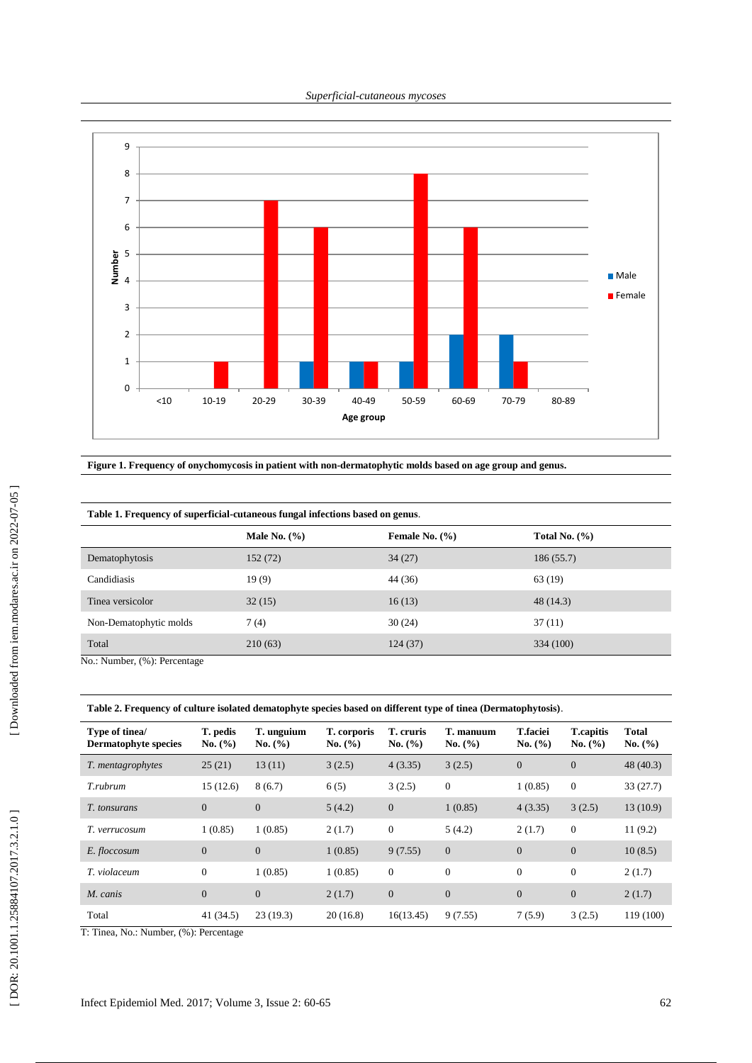*Superficial -cutaneous mycoses*



**Figure 1. Frequency of onychomycosis in patient with non -dermatophytic molds based on age group and genus .**

| Table 1. Frequency of superficial-cutaneous fungal infections based on genus. |                  |                    |                   |  |  |  |
|-------------------------------------------------------------------------------|------------------|--------------------|-------------------|--|--|--|
|                                                                               | Male No. $(\% )$ | Female No. $(\% )$ | Total No. $(\% )$ |  |  |  |
| Dematophytosis                                                                | 152 (72)         | 34(27)             | 186(55.7)         |  |  |  |
| Candidiasis                                                                   | 19(9)            | 44 (36)            | 63 (19)           |  |  |  |
| Tinea versicolor                                                              | 32(15)           | 16(13)             | 48 (14.3)         |  |  |  |
| Non-Dematophytic molds                                                        | 7(4)             | 30(24)             | 37(11)            |  |  |  |
| Total<br>$M = M$ $\ldots$ $\ldots$ (0/ $\ldots$ D $\ldots$ $\ldots$ $\ldots$  | 210(63)          | 124 (37)           | 334 (100)         |  |  |  |

No.: Number, (%): Percentage

**Table 2. Frequency of culture isolated dematophyte species based on different type of tinea (Dermatophytosis)** .

| Type of tinea/<br><b>Dermatophyte species</b> | T. pedis<br>No. $(\% )$ | T. unguium<br>No. (%) | T. corporis<br>No. (%) | T. cruris<br>No. (%) | T. manuum<br>No. (%) | <b>T.faciei</b><br>No. (%) | <b>T.capitis</b><br>No. $(\% )$ | <b>Total</b><br>No. $(\% )$ |
|-----------------------------------------------|-------------------------|-----------------------|------------------------|----------------------|----------------------|----------------------------|---------------------------------|-----------------------------|
| T. mentagrophytes                             | 25(21)                  | 13(11)                | 3(2.5)                 | 4(3.35)              | 3(2.5)               | $\overline{0}$             | $\mathbf{0}$                    | 48(40.3)                    |
| T.rubrum                                      | 15(12.6)                | 8(6.7)                | 6(5)                   | 3(2.5)               | $\mathbf{0}$         | 1(0.85)                    | $\theta$                        | 33(27.7)                    |
| <i>T.</i> tonsurans                           | $\Omega$                | $\overline{0}$        | 5(4.2)                 | $\mathbf{0}$         | 1(0.85)              | 4(3.35)                    | 3(2.5)                          | 13(10.9)                    |
| T. verrucosum                                 | 1(0.85)                 | 1(0.85)               | 2(1.7)                 | $\mathbf{0}$         | 5(4.2)               | 2(1.7)                     | $\boldsymbol{0}$                | 11(9.2)                     |
| E. floccosum                                  | $\Omega$                | $\boldsymbol{0}$      | 1(0.85)                | 9(7.55)              | $\mathbf{0}$         | $\overline{0}$             | $\mathbf{0}$                    | 10(8.5)                     |
| T. violaceum                                  | $\Omega$                | 1(0.85)               | 1(0.85)                | $\mathbf{0}$         | $\mathbf{0}$         | $\overline{0}$             | $\theta$                        | 2(1.7)                      |
| M. canis                                      | $\overline{0}$          | $\boldsymbol{0}$      | 2(1.7)                 | $\overline{0}$       | $\boldsymbol{0}$     | $\overline{0}$             | $\overline{0}$                  | 2(1.7)                      |
| Total                                         | 41 (34.5)               | 23(19.3)              | 20(16.8)               | 16(13.45)            | 9(7.55)              | 7(5.9)                     | 3(2.5)                          | 119 (100)                   |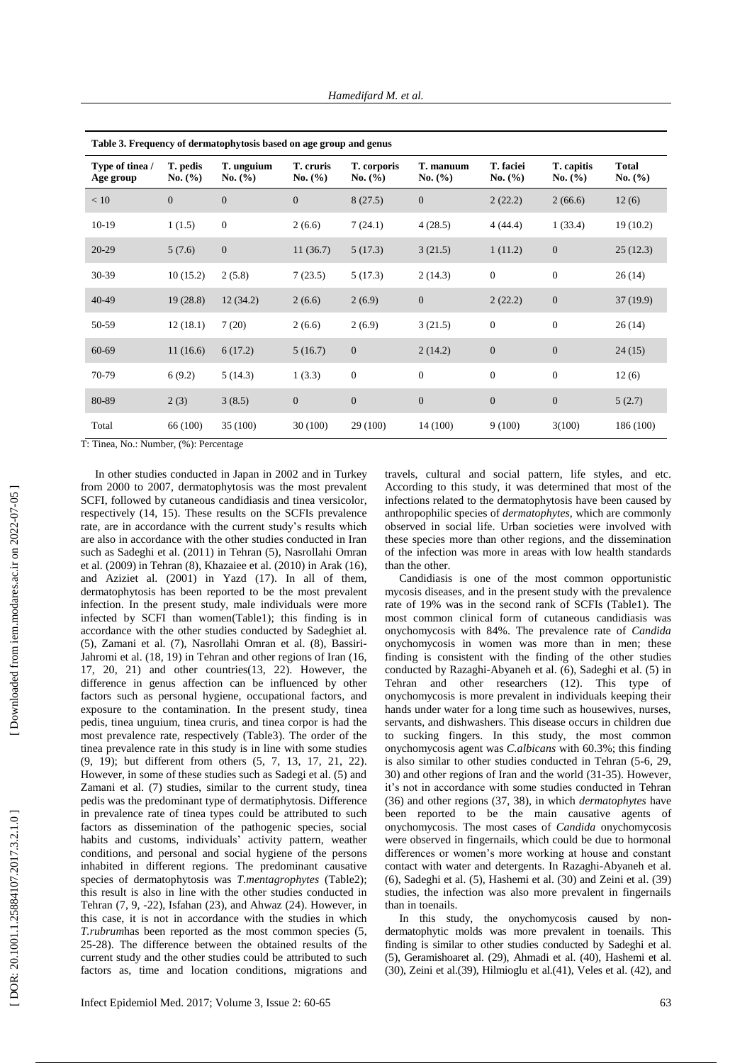| Table 3. Frequency of dermatophytosis based on age group and genus |                                  |                           |                      |                            |                          |                          |                       |                         |  |
|--------------------------------------------------------------------|----------------------------------|---------------------------|----------------------|----------------------------|--------------------------|--------------------------|-----------------------|-------------------------|--|
| Type of tinea /<br>Age group                                       | T. pedis<br>No. $(\% )$          | T. unguium<br>No. $(\% )$ | T. cruris<br>No. (%) | T. corporis<br>No. $(\% )$ | T. manuum<br>No. $(\% )$ | T. faciei<br>No. $(\% )$ | T. capitis<br>No. (%) | <b>Total</b><br>No. (%) |  |
| < 10                                                               | $\overline{0}$                   | $\overline{0}$            | $\overline{0}$       | 8(27.5)                    | $\overline{0}$           | 2(22.2)                  | 2(66.6)               | 12(6)                   |  |
| $10-19$                                                            | 1(1.5)                           | $\mathbf{0}$              | 2(6.6)               | 7(24.1)                    | 4(28.5)                  | 4(44.4)                  | 1(33.4)               | 19(10.2)                |  |
| $20-29$                                                            | 5(7.6)                           | $\mathbf{0}$              | 11(36.7)             | 5(17.3)                    | 3(21.5)                  | 1(11.2)                  | $\boldsymbol{0}$      | 25(12.3)                |  |
| 30-39                                                              | 10(15.2)                         | 2(5.8)                    | 7(23.5)              | 5(17.3)                    | 2(14.3)                  | $\boldsymbol{0}$         | $\boldsymbol{0}$      | 26(14)                  |  |
| $40 - 49$                                                          | 19(28.8)                         | 12(34.2)                  | 2(6.6)               | 2(6.9)                     | $\mathbf{0}$             | 2(22.2)                  | $\boldsymbol{0}$      | 37(19.9)                |  |
| 50-59                                                              | 12(18.1)                         | 7(20)                     | 2(6.6)               | 2(6.9)                     | 3(21.5)                  | $\boldsymbol{0}$         | $\boldsymbol{0}$      | 26(14)                  |  |
| 60-69                                                              | 11(16.6)                         | 6(17.2)                   | 5(16.7)              | $\mathbf{0}$               | 2(14.2)                  | $\boldsymbol{0}$         | $\boldsymbol{0}$      | 24(15)                  |  |
| 70-79                                                              | 6(9.2)                           | 5(14.3)                   | 1(3.3)               | $\boldsymbol{0}$           | $\overline{0}$           | $\boldsymbol{0}$         | $\boldsymbol{0}$      | 12(6)                   |  |
| 80-89                                                              | 2(3)                             | 3(8.5)                    | $\overline{0}$       | $\boldsymbol{0}$           | $\overline{0}$           | $\boldsymbol{0}$         | $\boldsymbol{0}$      | 5(2.7)                  |  |
| Total                                                              | 66 (100)<br>$\sim$ $\sim$ $\sim$ | 35 (100)                  | 30(100)              | 29 (100)                   | 14 (100)                 | 9(100)                   | 3(100)                | 186 (100)               |  |

**Table 3. Frequency of dermatophytosis based on age group and genus**

T: Tinea, No.: Number, (%): Percentage

In other studies conducted in Japan in 2002 and in Turkey from 2000 to 2007, dermatophytosis was the most prevalent SCFI, followed by cutaneous candidiasis and tinea versicolor, respectively (14, 15). These results on the SCFIs prevalence rate, are in accordance with the current study's results which are also in accordance with the other studies conducted in Iran such as Sadeghi et al. (2011 ) in Tehran (5), Nasrollahi Omran et al. (2009) in Tehran (8), Khazaiee et al. (2010) in Arak (16), and Aziziet al. (2001 ) in Yazd (17 ). In all of them, dermatophytosis has been reported to be the most prevalent infection. In the present study , male individuals were more infected by SCFI than women(Table1) ; this finding is in accordance with the other studies conducted by Sadeghiet al. (5), Zamani et al. (7), Nasrollahi Omran et al. (8), Bassiri - Jahromi et al. (18, 19 ) in Tehran and other regions of Iran (16, 17, 20, 21 ) and other countries (13, 22 ). However, th e difference in genus affection can be influenced by other factors such as personal hygiene, occupational factors , and exposure to the contamination. In the present study , tinea pedis , tinea unguium, tinea cruris , and tinea corpor is had the most prevalence rate, respectively (Table 3 ) . The order of the tinea prevalence rate in this study is in line with some studies (9, 19); but different from others (5, 7, 13, 17, 21, 22). However, in some of these studies such as Sadegi et al. (5) and Zamani et al. (7) studies , similar to the current study, tinea pedis was the predominant type of dermatiphytosis. Difference in prevalence rate of tinea types could be attributed to such factors as diss emination of the pathogenic species, social habits and customs, individuals' activity pattern, weather conditions, and personal and social hygiene of the persons inhabited in different region s. The predominant causative species of dermatophytosis was *T.mentagrophytes* (Table2); this result is also in line with the other studies conducted in Tehran (7, 9, -22 ), Isfahan (23 ), and Ahwaz (24 ). However, in this case , it is not in accordance with the studies in which *T.rubrum*has been reported as the most common species ( 5, 25 -28 ). The difference between the obtained results of the current study and the other studies could be attributed to such factors as , time and location conditions , migrations and

travels, cultural and social pattern, life styles , and etc. According to this study , it was determined that most of the infections related to the dermatophytosis have been caused by anthropophilic species of *dermatophytes,* which are commonly observed in social life. Urban societies were involved with these species more than other regions, and the dissemination of the infection was more in areas with low health standards than the other.

Candidiasis is one of the most common opportunistic mycosis diseases , and in the present study with the prevalence rate of 19% was in the second rank of SCFIs (Table1). The most common clinical form of cutaneous candidiasis was onychomycosis with 84%. The prevalence rate of *Candida* onychomycosis in women was more than in men; these finding is consistent with the finding of the other studies conducted by Razaghi -Abyaneh et al. (6), Sadeghi et al. (5) in Tehran and other researchers (12 ). This type of onychomycosis is more prevalent in individuals keeping their hands under water for a long time such as housewives, nurses, servants, and dishwashers. This disease occurs in children due to sucking fingers. In this study , the most common onychomycosis agent was *C .albicans* with 60.3 % ; this finding is also similar to other studies conducted in Tehran ( 5 - 6, 29, 30 ) and other regions of Iran and the world (31 -35 ). However, it's not in accordance with some studies conducted in Tehran (36) and other regions (37, 38), in which *dermatophytes* have been reported to be the main causative agents of onychomycosis. The most cases of *Candida* onychomycosis were observed in fingernails , which could be due to hormonal differences or women's more working at house and constant contact with water and detergents. In Razaghi -Abyaneh et al. (6), Sadeghi et al. (5), Hashemi et al. (30 ) and Zeini et al. (39 ) studies , the infection was also more prevalent in fingernails than in toenails.

In this study, the onychomycosis caused by nondermatophytic molds was more prevalent in toenails. This finding is similar to other studies conducted by Sadeghi et al. (5), Gerami shoaret al. (29 ), Ahmadi et al. (40 ), Hashemi et al.  $(30)$ , Zeini et al. $(39)$ , Hilmioglu et al. $(41)$ , Veles et al.  $(42)$ , and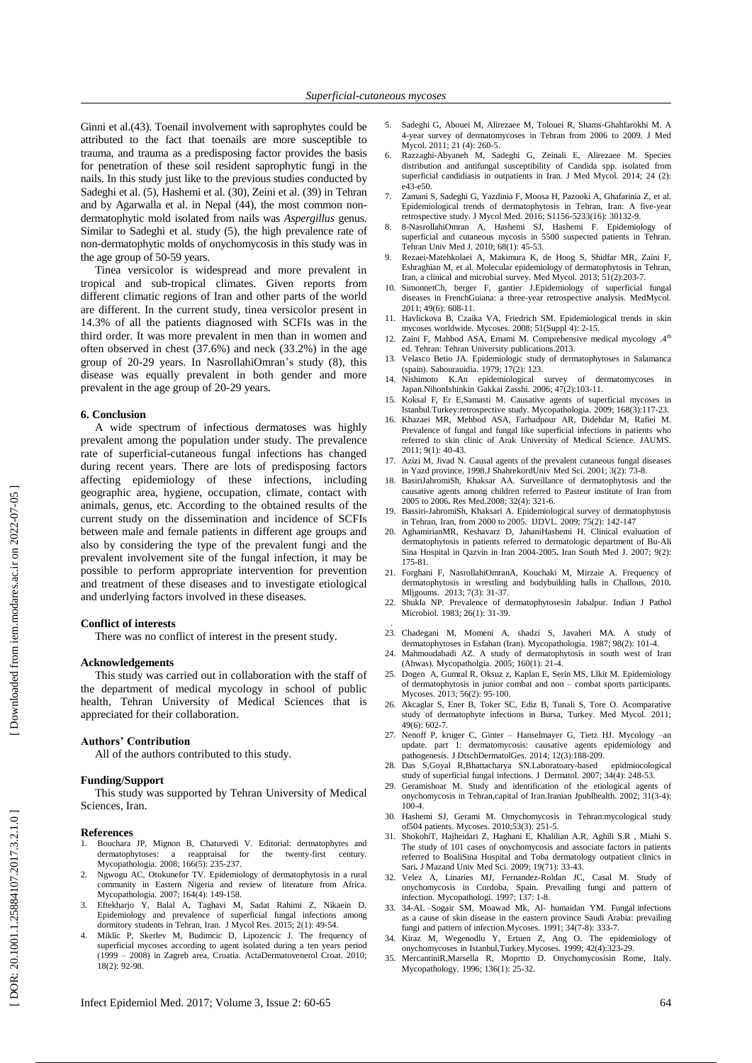Ginni et al. (43 ). Toenail involvement with saprophyte s could be attributed to the fact that toenails are more susceptible to trauma, and trauma as a predisposing factor provides the basis for penetration of th e s e soil resident saprophytic fungi in the nails. In this study just like to the previous studies conducted by Sadeghi et al. (5), Hashemi et al. (30), Zeini et al. (39) in Tehran and by Agarwalla et al. in Nepal (44 ) , the most common non dermatophytic mold isolated from nail s was *Aspergillus* genus. Similar to Sadeghi et al. study (5), the high prevalence rate of non -dermatophytic molds of onychomycosis in this study was in the age group of 50 -59 years.

Tinea versicolor is widespread and more prevalent in tropical and sub -tropical climates. Given reports from different climatic regions of Iran and other parts of the world are different. In the current study , tinea versicolor present in 14.3% of all the patients diagnosed with SCFIs was in the third order. It was more prevalent in men than in women and often observed in chest (37.6%) and neck (33.2%) in the age group of 20 -29 years. In NasrollahiOmran's study ( 8 ) , this disease was equally prevalent in both gender and more prevalent in the age group of 20 -29 years.

#### **6. Conclusion**

A wide spectrum of infectious dermatoses was highly prevalent among the population under study. The prevalence rate of superficial -cutaneous fungal infections has changed during recent years. There are lots of predisposing factors affecting epidemiology of these infections , including geographic area, hygiene, occupation, climate, contact with animals, genus , etc. According to the obtained results of the current study on the dissemination and incidence of SCFIs between male and female patients in different age groups and also by considering the type of the prevalent fungi and the prevalent involvement site of the fungal infection, it may be possible to perform appropriate intervention for prevention and treatment of these diseases and to investigate etiological and underlying factors involved in these disease s .

#### **Conflict of interests**

There was no conflict of interest in the present study.

#### **Acknowledgements**

This study was carried out in collaboration with the staff of the department of medical mycology in school of public health, Tehran University of Medical Sciences that is appreciated for their collaboration.

## **Authors' Contribution**

All of the authors contribute d to this study.

# **Funding/Support**

This study was supported by Tehran University of Medical Sciences, Iran.

#### **References**

- 1. Bouchara JP, Mignon B, Chaturvedi V. Editorial: dermatophytes and for the twenty-first -<br>century. Mycopathologia. 2008; 166(5): 235 -237.
- 2. Ngwogu AC, Otokunefor TV. Epidemiology of dermatophytos is in a rural community in Eastern Nigeria and review of literature from Africa. Mycopathologia. 2007; 164(4): 149 -158.
- 3. Eftekharjo Y, Balal A, Taghavi M, Sadat Rahimi Z, Nikaein D. Epidemiology and prevalence of superficial fungal infections among dormitory students in Tehran, Iran. J Mycol Res. 2015; 2(1): 49 -54.
- Miklic P, Skerlev M, Budimcic D, Lipozencic J. The frequency of superficial mycoses according to agent isolated during a ten years period superficial mycoses according to agent isolated during a ten years period (1999 – 2008) in Zagreb area, Croatia. ActaDermatovenerol Croat. 2010; 18(2): 92 -98.
- 5. Sadeghi G, Abouei M, Alirezaee M, Tolouei R, Shams -Ghahfarokhi M. A 4 -year survey of dermatomycoses in Tehran from 2006 to 2009. J Med Mycol. 2011; 21 (4): 260 -5.
- 6. Razzaghi -Abyaneh M, Sadeghi G, Zeinali E, Alirezaee M. Species distribution and antifungal susceptibility of Candida spp. isolated from superficial candidiasis in outpatients in Iran. J Med Mycol. 2014; 24 (2): e43 -e50.
- 7. Zamani S, Sadeghi G, Yazdinia F, Moosa H, Pazooki A, Ghafarinia Z, et al. Epidemiological trends of dermatophytosis in Tehran, Iran: A five -year retrospective study. J Mycol Med. 2016; S1156 -5233(16): 30132 -9.
- 8. 8 -NasrollahiOmran A, Hashemi SJ, Hashemi F. Epidemiology of superficial and cutaneous mycosis in 5500 suspected patients in Tehran. Tehran Univ Med J. 2010; 68(1): 45 -53.
- 9. Rezaei -Matehkolaei A, Makimura K, de Hoog S, Shidfar MR, Zaini F, Eshraghian M, et al. Molecular epidemiology of dermatophytosis in Tehran, Iran, a clinical and microbial survey. Med Mycol. 2013; 51(2):203-7.
- 10. SimonnetCh, berger F, gantier J.Epidemiology of superficial fungal diseases in FrenchGuiana: a three -year retrospective analysis. MedMycol. 2011; 49(6): 608 -11.
- 11. Havlickova B, Czaika VA, Friedrich SM. Epidemiological trends in skin mycoses worldwide. Mycoses . 2008; 51(Suppl 4): 2 -15.
- 12. Zaini F, Mahbod ASA, Emami M. Comprehensive medical mycology .4th ed. Tehran: Tehran University publications.2013.
- 13. Velasco Betio JA. Epidemiologic study of dermatophytoses in Salamanc a (spain). Sabourauidia. 1979; 17(2): 123.
- Nishimoto K.An epidemiological survey of dermatomycoses in Japan.NihonIshinkin Gakkai Zasshi. 2006; 47(2):103-11.
- 15. Koksal F, Er E, Samasti M. Causative agents of superficial mycoses in Istanbul.Turkey:retrospective study. Mycopathologia. 2009; 168(3):117-23.
- 16. Khazaei MR, Mehbod ASA, Farhadpour AR, Didehdar M, Rafiei M. Prevalence of fungal and fungal like superficial infections in patients who refer red to skin clinic of Arak University of Medical Science. JAUMS . 2011; 9(1): 40 -43 .
- 17. [Azizi M,](http://journal.skums.ac.ir/search.php?slc_lang=en&sid=1&auth=azizi)  [Jivad](http://journal.skums.ac.ir/search.php?slc_lang=en&sid=1&auth=jivad) N[. Causal agents of the prevalent cutaneous fungal diseases](http://journal.skums.ac.ir/files/site1/user_files_d0c23d/mtmoradi-A-10-8-23-273185c.pdf)  [in Yazd province, 1998.](http://journal.skums.ac.ir/files/site1/user_files_d0c23d/mtmoradi-A-10-8-23-273185c.pdf)[J ShahrekordUniv Med Sci](http://journal.skums.ac.ir/browse.php?mag_id=51&slc_lang=en&sid=1). 2001; 3(2): 73-8.
- 18. [BasiriJahromiSh,](http://pejouhesh.sbmu.ac.ir/search.php?slc_lang=en&sid=1&auth=Basiri+Jahromi) [Khaksar](http://pejouhesh.sbmu.ac.ir/search.php?slc_lang=en&sid=1&auth=Khaksar) AA. [Surveillance of dermatophytosis and the](http://pejouhesh.sbmu.ac.ir/files/site1/user_files_ec23de/admin-A-10-1-442-6ebb55d.pdf)  [causative agents among children referred to Pasteur institute of Iran from](http://pejouhesh.sbmu.ac.ir/files/site1/user_files_ec23de/admin-A-10-1-442-6ebb55d.pdf)  [2005 to 2006](http://pejouhesh.sbmu.ac.ir/files/site1/user_files_ec23de/admin-A-10-1-442-6ebb55d.pdf)**.** Res Med.2008; 32(4): 321 -6.
- 19. Bassiri -JahromiSh, Khaksari A. Epidemiological survey of dermatophytosis in Tehran, Iran, from 2000 to 2005. IJDVL. 2009; 75(2): 142 -147
- 20. [AghamirianM](http://ismj.bpums.ac.ir/search.php?slc_lang=en&sid=1&auth=Aghamirian)R, [Keshavarz](http://ismj.bpums.ac.ir/search.php?slc_lang=en&sid=1&auth=Keshavarz) D, [JahaniHashemi](http://ismj.bpums.ac.ir/search.php?slc_lang=en&sid=1&auth=Jahani+Hashemi) H. [Clinical evaluation of](http://ismj.bpums.ac.ir/files/site1/user_files_047d40/lalerokh-A-10-3-35-fd4b6aa.pdf)  [dermatophytosis in patients referred to dermatologic department of Bu](http://ismj.bpums.ac.ir/files/site1/user_files_047d40/lalerokh-A-10-3-35-fd4b6aa.pdf) -Ali Sina Hospital [in Qazvin in Iran 2004](http://ismj.bpums.ac.ir/files/site1/user_files_047d40/lalerokh-A-10-3-35-fd4b6aa.pdf) -2005**.** [Iran South Med J. 2007; 9\(2\):](http://ismj.bpums.ac.ir/browse.php?mag_id=4&slc_lang=en&sid=1)  [175](http://ismj.bpums.ac.ir/browse.php?mag_id=4&slc_lang=en&sid=1) -81 .
- 21. [Forghani](http://www.goums.ac.ir/mljgoums/search.php?slc_lang=en&sid=1&auth=Forghani) F, [NasrollahiOmranA,](http://www.goums.ac.ir/mljgoums/search.php?slc_lang=en&sid=1&auth=Nasrollahi+Omran) [Kouchaki](http://www.goums.ac.ir/mljgoums/search.php?slc_lang=en&sid=1&auth=Kouchaki) M, [Mirzaie](http://www.goums.ac.ir/mljgoums/search.php?slc_lang=en&sid=1&auth=Mirzaie) A. [Frequency of](http://www.goums.ac.ir/mljgoums/files/site1/user_files_c5015c/admin-A-10-1-161-addf7e8.pdf)  [dermatophytosis in wrestling and bodybuilding halls in Challous, 2010](http://www.goums.ac.ir/mljgoums/files/site1/user_files_c5015c/admin-A-10-1-161-addf7e8.pdf)**.**  Mljgoums[. 2013; 7\(3\): 31](http://www.goums.ac.ir/mljgoums/browse.php?mag_id=15&slc_lang=en&sid=1)-37.
- 22. Shukla NP. Prevalence of dermatophytosesin Jaba lpur. India n J Pathol Microbiol. 1983; 26(1): 31 -39.
- . 23. Chadegani M, Momeni A, shadzi S, Javaheri MA. A study of dermatophytoses in Esfahan (Iran). Mycopathologia . 1987; 98(2): 101 -4.
- 24. Mahmoudabadi AZ. A study of dermatophytosis in south west of Iran (Ahwas). Mycopatholgia. 2005; 160(1): 21 -4.
- 25. Dogen A, Gumral R, Oksuz z, Kaplan E, Serin MS, L lkit M. Epidemiology of dermatophytosis in junior combat and non – combat sports participants. Mycoses. 2013 ; 56(2): 95 -100.
- 26. Akcaglar S, Ener B, Toker SC, Ediz B, Tun ali S, Tore O. Acomparative study of dermatophyte infections in Bursa, Turkey. Med Mycol. 2011; 49(6): 602 -7.
- 27. Nenoff P, kruger C, Ginter Hanselmayer G, Tietz HJ. Mycology –an update . part 1: dermatomycosis: causative agents epidemiology and pathogenesis[. J DtschDermatolGes.](http://www.ncbi.nlm.nih.gov/pubmed/24533779) 2014; 12(3):188 -209 .
- 28. Das S,Goyal R,Bhattacharya SN . Lab oratoary epidmiocological study of superficial fungal infections. J Dermatol. 2007; 34(4): 248-53.
- 29. Geramishoar M. Study and identification of the etiological agents of onychomycosis in Tehran,capital of Iran.Iranian Jpublhealth. 2002; 31(3-4): 100 - 4 .
- 30. Hashemi S J, Gerami M. Omychomycosis in Tehran:mycological stud y of504 patients. Mycoses . 2010;53(3): 251 - 5 .
- 31. [ShokohiT,](http://jmums.mazums.ac.ir/search.php?slc_lang=en&sid=1&auth=Shokohi) [Hajheidari](http://jmums.mazums.ac.ir/search.php?slc_lang=en&sid=1&auth=Hajheidari) Z, [Haghani](http://jmums.mazums.ac.ir/search.php?slc_lang=en&sid=1&auth=Haghani) E, [Khalilian](http://jmums.mazums.ac.ir/search.php?slc_lang=en&sid=1&auth=Khalilian) A.R, [Aghili](http://jmums.mazums.ac.ir/search.php?slc_lang=en&sid=1&auth=Aghili) S.R , [Miahi](http://jmums.mazums.ac.ir/search.php?slc_lang=en&sid=1&auth=Miahi) S. [The study of 101 cases of onychomycosis and associate factors in patients](http://jmums.mazums.ac.ir/files/site1/user_files_0d0bf0/admin-A-10-1-562-c2e052d.pdf)  [referred to BoaliSina Hospital and Toba dermatology outpatient clinics in](http://jmums.mazums.ac.ir/files/site1/user_files_0d0bf0/admin-A-10-1-562-c2e052d.pdf)  [Sari](http://jmums.mazums.ac.ir/files/site1/user_files_0d0bf0/admin-A-10-1-562-c2e052d.pdf). [J Mazand Univ Med Sci](http://jmums.mazums.ac.ir/browse.php?mag_id=39&slc_lang=en&sid=1). 2009; 19(71): 33-43.
- 32. Velez A, Linaries MJ, Fernandez -Roldan JC, Casal M. Study of onychomycosis in Cordoba, Spain. Prevailing fungi and pattern of infection. Mycopathologi . 1997; 137: 1 -8.
- 33. 34 -AL –Sogair SM, Moawad Mk, A l humaidan YM. Fungal infections as a cause of skin disease in the eastern province Saudi Arabia: prevailing fungi and pattern of infection. Mycoses. 1991; 34(7-8): 333-7.
- 34. Kiraz M, Wegenodlu Y, Ertuen Z, Ang O. The epidemiology of onychomycos es in Istanbul,Turkey.Mycoses. 1999; 42(4):323 -29.
- 35. MercantiniR,Marsella R, Moprtto D. Onychomycosisin Rome , Italy. Mycopathology. 1996; 136(1): 25-32.

Downloaded from iem.modares.ac.ir on 2022-07-05